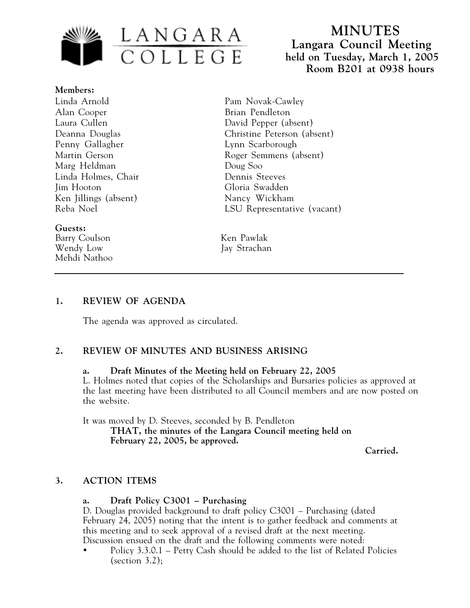

 **MINUTES Langara Council Meeting held on Tuesday, March 1, 2005 Room B201 at 0938 hours**

**Members:** Linda Arnold Alan Cooper Laura Cullen Deanna Douglas Penny Gallagher Martin Gerson Marg Heldman Linda Holmes, Chair Jim Hooton Ken Jillings (absent) Reba Noel

#### **Guests:**

Barry Coulson Ken Pawlak Wendy Low Jay Strachan Mehdi Nathoo

Pam Novak-Cawley Brian Pendleton David Pepper (absent) Christine Peterson (absent) Lynn Scarborough Roger Semmens (absent) Doug Soo Dennis Steeves Gloria Swadden Nancy Wickham LSU Representative (vacant)

#### **1. REVIEW OF AGENDA**

The agenda was approved as circulated.

### **2. REVIEW OF MINUTES AND BUSINESS ARISING**

#### **a. Draft Minutes of the Meeting held on February 22, 2005**

L. Holmes noted that copies of the Scholarships and Bursaries policies as approved at the last meeting have been distributed to all Council members and are now posted on the website.

It was moved by D. Steeves, seconded by B. Pendleton **THAT, the minutes of the Langara Council meeting held on February 22, 2005, be approved.**

**Carried.**

### **3. ACTION ITEMS**

### **a. Draft Policy C3001 – Purchasing**

D. Douglas provided background to draft policy C3001 – Purchasing (dated February 24, 2005) noting that the intent is to gather feedback and comments at this meeting and to seek approval of a revised draft at the next meeting. Discussion ensued on the draft and the following comments were noted:

• Policy 3.3.0.1 – Petty Cash should be added to the list of Related Policies  $\left( \text{section } 3.2 \right);$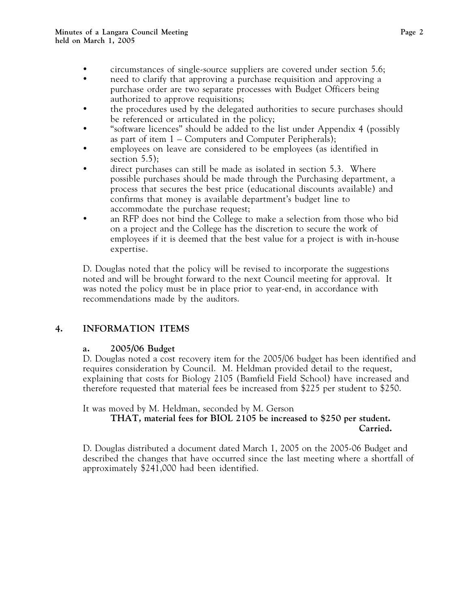- circumstances of single-source suppliers are covered under section 5.6;
- need to clarify that approving a purchase requisition and approving a purchase order are two separate processes with Budget Officers being authorized to approve requisitions;
- the procedures used by the delegated authorities to secure purchases should be referenced or articulated in the policy;
- "software licences" should be added to the list under Appendix 4 (possibly as part of item 1 – Computers and Computer Peripherals);
- employees on leave are considered to be employees (as identified in section  $5.5$ ):
- direct purchases can still be made as isolated in section 5.3. Where possible purchases should be made through the Purchasing department, a process that secures the best price (educational discounts available) and confirms that money is available department's budget line to accommodate the purchase request;
- an RFP does not bind the College to make a selection from those who bid on a project and the College has the discretion to secure the work of employees if it is deemed that the best value for a project is with in-house expertise.

D. Douglas noted that the policy will be revised to incorporate the suggestions noted and will be brought forward to the next Council meeting for approval. It was noted the policy must be in place prior to year-end, in accordance with recommendations made by the auditors.

# **4. INFORMATION ITEMS**

## **a. 2005/06 Budget**

D. Douglas noted a cost recovery item for the 2005/06 budget has been identified and requires consideration by Council. M. Heldman provided detail to the request, explaining that costs for Biology 2105 (Bamfield Field School) have increased and therefore requested that material fees be increased from \$225 per student to \$250.

It was moved by M. Heldman, seconded by M. Gerson

**THAT, material fees for BIOL 2105 be increased to \$250 per student. Carried.**

D. Douglas distributed a document dated March 1, 2005 on the 2005-06 Budget and described the changes that have occurred since the last meeting where a shortfall of approximately \$241,000 had been identified.